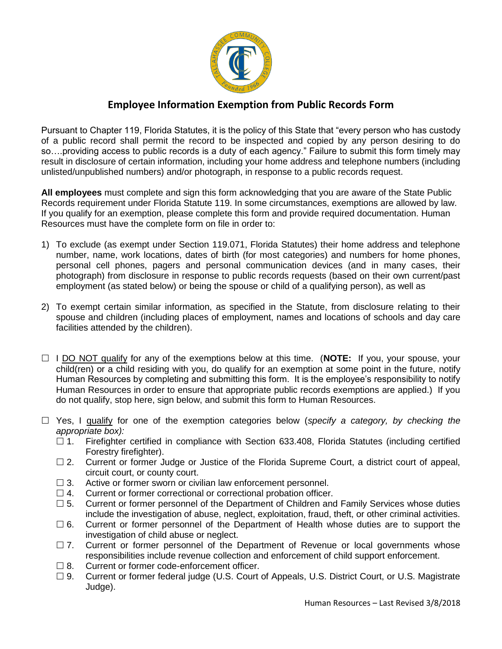

## **Employee Information Exemption from Public Records Form**

Pursuant to Chapter 119, Florida Statutes, it is the policy of this State that "every person who has custody of a public record shall permit the record to be inspected and copied by any person desiring to do so….providing access to public records is a duty of each agency." Failure to submit this form timely may result in disclosure of certain information, including your home address and telephone numbers (including unlisted/unpublished numbers) and/or photograph, in response to a public records request.

**All employees** must complete and sign this form acknowledging that you are aware of the State Public Records requirement under Florida Statute 119. In some circumstances, exemptions are allowed by law. If you qualify for an exemption, please complete this form and provide required documentation. Human Resources must have the complete form on file in order to:

- 1) To exclude (as exempt under Section 119.071, Florida Statutes) their home address and telephone number, name, work locations, dates of birth (for most categories) and numbers for home phones, personal cell phones, pagers and personal communication devices (and in many cases, their photograph) from disclosure in response to public records requests (based on their own current/past employment (as stated below) or being the spouse or child of a qualifying person), as well as
- 2) To exempt certain similar information, as specified in the Statute, from disclosure relating to their spouse and children (including places of employment, names and locations of schools and day care facilities attended by the children).
- I DO NOT qualify for any of the exemptions below at this time. (**NOTE:** If you, your spouse, your child(ren) or a child residing with you, do qualify for an exemption at some point in the future, notify Human Resources by completing and submitting this form. It is the employee's responsibility to notify Human Resources in order to ensure that appropriate public records exemptions are applied.) If you do not qualify, stop here, sign below, and submit this form to Human Resources.
- Yes, I qualify for one of the exemption categories below (*specify a category, by checking the appropriate box):*
	- □ 1. Firefighter certified in compliance with Section 633.408, Florida Statutes (including certified Forestry firefighter).
	- $\Box$  2. Current or former Judge or Justice of the Florida Supreme Court, a district court of appeal, circuit court, or county court.
	- $\Box$  3. Active or former sworn or civilian law enforcement personnel.
	- $\Box$  4. Current or former correctional or correctional probation officer.
	- $\Box$  5. Current or former personnel of the Department of Children and Family Services whose duties include the investigation of abuse, neglect, exploitation, fraud, theft, or other criminal activities.
	- □ 6. Current or former personnel of the Department of Health whose duties are to support the investigation of child abuse or neglect.
	- $\Box$  7. Current or former personnel of the Department of Revenue or local governments whose responsibilities include revenue collection and enforcement of child support enforcement.
	- $\Box$  8. Current or former code-enforcement officer.
	- □ 9. Current or former federal judge (U.S. Court of Appeals, U.S. District Court, or U.S. Magistrate Judge).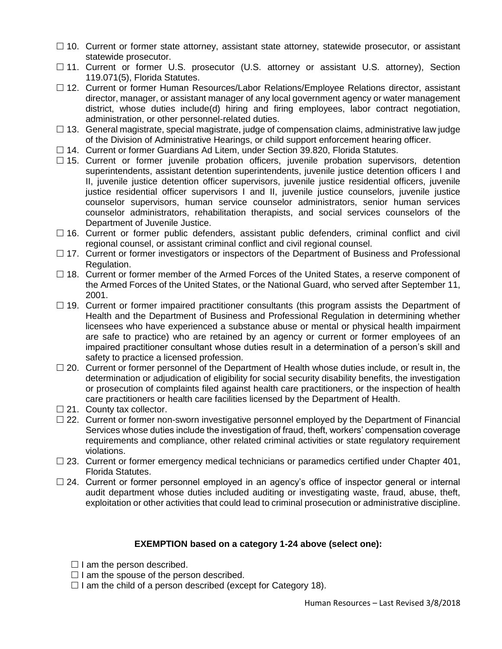- $\Box$  10. Current or former state attorney, assistant state attorney, statewide prosecutor, or assistant statewide prosecutor.
- □ 11. Current or former U.S. prosecutor (U.S. attorney or assistant U.S. attorney), Section 119.071(5), Florida Statutes.
- □ 12. Current or former Human Resources/Labor Relations/Employee Relations director, assistant director, manager, or assistant manager of any local government agency or water management district, whose duties include(d) hiring and firing employees, labor contract negotiation, administration, or other personnel-related duties.
- $\Box$  13. General magistrate, special magistrate, judge of compensation claims, administrative law judge of the Division of Administrative Hearings, or child support enforcement hearing officer.
- □ 14. Current or former Guardians Ad Litem, under Section 39.820, Florida Statutes.
- $\Box$  15. Current or former juvenile probation officers, juvenile probation supervisors, detention superintendents, assistant detention superintendents, juvenile justice detention officers I and II, juvenile justice detention officer supervisors, juvenile justice residential officers, juvenile justice residential officer supervisors I and II, juvenile justice counselors, juvenile justice counselor supervisors, human service counselor administrators, senior human services counselor administrators, rehabilitation therapists, and social services counselors of the Department of Juvenile Justice.
- $\Box$  16. Current or former public defenders, assistant public defenders, criminal conflict and civil regional counsel, or assistant criminal conflict and civil regional counsel.
- $\Box$  17. Current or former investigators or inspectors of the Department of Business and Professional Regulation.
- $\Box$  18. Current or former member of the Armed Forces of the United States, a reserve component of the Armed Forces of the United States, or the National Guard, who served after September 11, 2001.
- $\Box$  19. Current or former impaired practitioner consultants (this program assists the Department of Health and the Department of Business and Professional Regulation in determining whether licensees who have experienced a substance abuse or mental or physical health impairment are safe to practice) who are retained by an agency or current or former employees of an impaired practitioner consultant whose duties result in a determination of a person's skill and safety to practice a licensed profession.
- $\Box$  20. Current or former personnel of the Department of Health whose duties include, or result in, the determination or adjudication of eligibility for social security disability benefits, the investigation or prosecution of complaints filed against health care practitioners, or the inspection of health care practitioners or health care facilities licensed by the Department of Health.
- $\Box$  21. County tax collector.
- $\square$  22. Current or former non-sworn investigative personnel employed by the Department of Financial Services whose duties include the investigation of fraud, theft, workers' compensation coverage requirements and compliance, other related criminal activities or state regulatory requirement violations.
- $\Box$  23. Current or former emergency medical technicians or paramedics certified under Chapter 401, Florida Statutes.
- $\Box$  24. Current or former personnel employed in an agency's office of inspector general or internal audit department whose duties included auditing or investigating waste, fraud, abuse, theft, exploitation or other activities that could lead to criminal prosecution or administrative discipline.

## **EXEMPTION based on a category 1-24 above (select one):**

- $\Box$  I am the person described.
- $\Box$  I am the spouse of the person described.
- $\Box$  I am the child of a person described (except for Category 18).